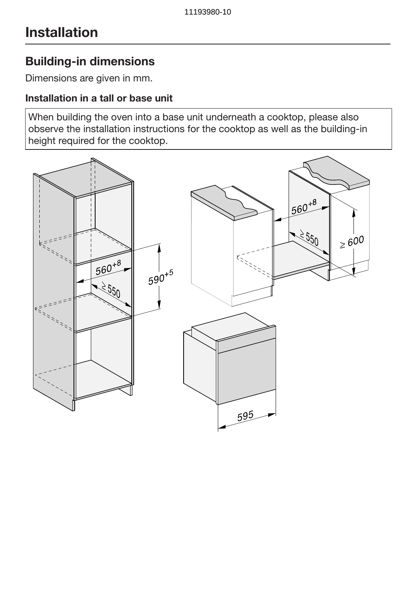### Building-in dimensions

Dimensions are given in mm.

#### Installation in a tall or base unit

When building the oven into a base unit underneath a cooktop, please also observe the installation instructions for the cooktop as well as the building-in height required for the cooktop.

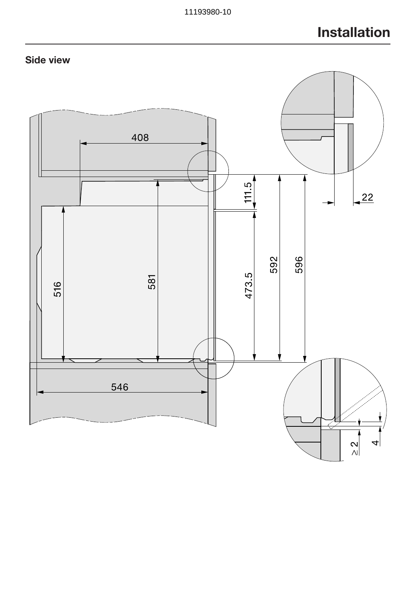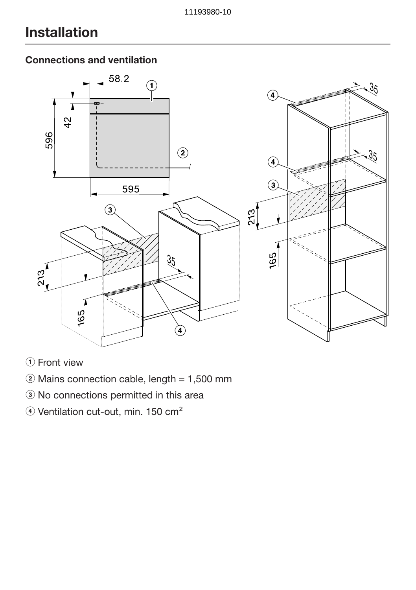#### Connections and ventilation



(1) Front view

- $\ddot{ }$  Mains connection cable, length = 1,500 mm
- <sup>3</sup> No connections permitted in this area
- 4) Ventilation cut-out, min. 150 cm<sup>2</sup>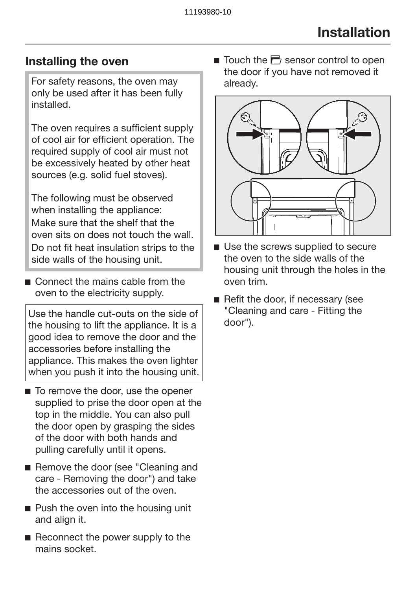### Installing the oven

For safety reasons, the oven may only be used after it has been fully installed.

The oven requires a sufficient supply of cool air for efficient operation. The required supply of cool air must not be excessively heated by other heat sources (e.g. solid fuel stoves).

The following must be observed when installing the appliance: Make sure that the shelf that the oven sits on does not touch the wall. Do not fit heat insulation strips to the side walls of the housing unit.

Connect the mains cable from the oven to the electricity supply.

Use the handle cut-outs on the side of the housing to lift the appliance. It is a good idea to remove the door and the accessories before installing the appliance. This makes the oven lighter when you push it into the housing unit.

- To remove the door, use the opener supplied to prise the door open at the top in the middle. You can also pull the door open by grasping the sides of the door with both hands and pulling carefully until it opens.
- Remove the door (see "Cleaning and care - Removing the door") and take the accessories out of the oven.
- Push the oven into the housing unit and align it.
- Reconnect the power supply to the mains socket.

 $\blacksquare$  Touch the  $\blacksquare$  sensor control to open the door if you have not removed it already.



- Use the screws supplied to secure the oven to the side walls of the housing unit through the holes in the oven trim.
- Refit the door, if necessary (see "Cleaning and care - Fitting the door").